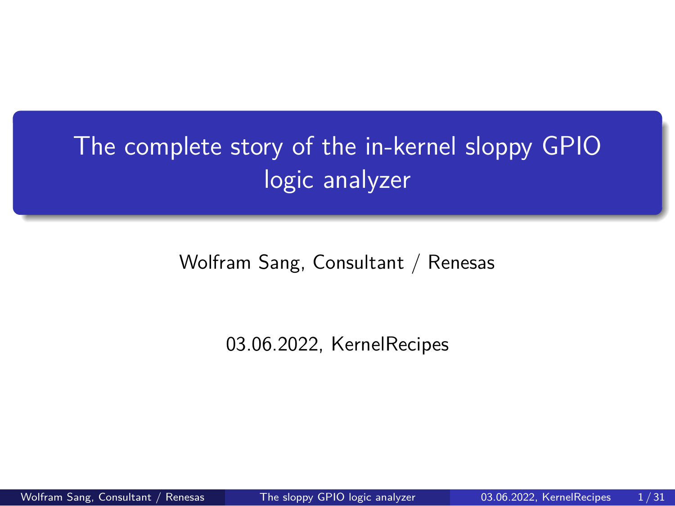The complete story of the in-kernel sloppy GPIO logic analyzer

Wolfram Sang, Consultant / Renesas

03.06.2022, KernelRecipes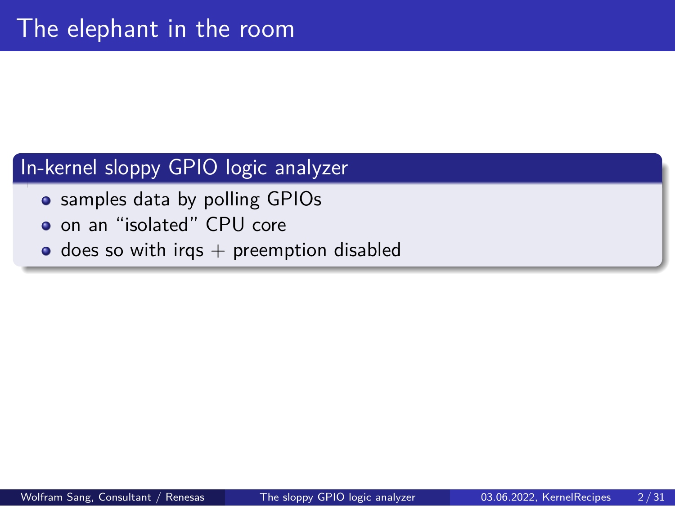## The elephant in the room

### In-kernel sloppy GPIO logic analyzer

- samples data by polling GPIOs
- o on an "isolated" CPU core
- $\bullet$  does so with irqs  $+$  preemption disabled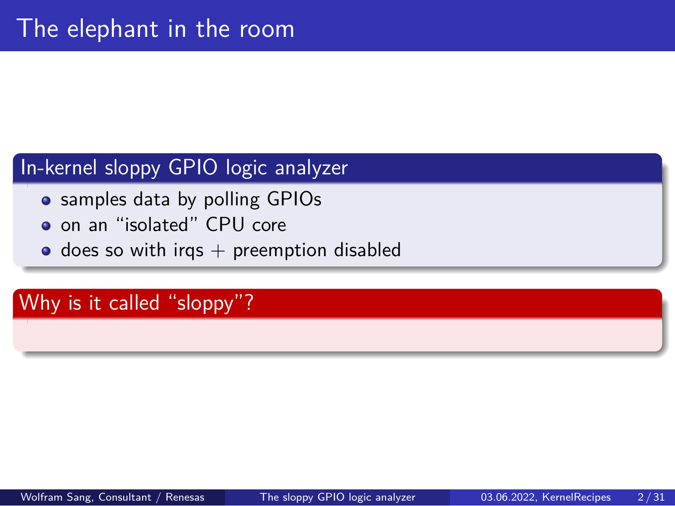## The elephant in the room

### In-kernel sloppy GPIO logic analyzer

- samples data by polling GPIOs
- o on an "isolated" CPU core
- $\bullet$  does so with irqs  $+$  preemption disabled

Why is it called "sloppy"?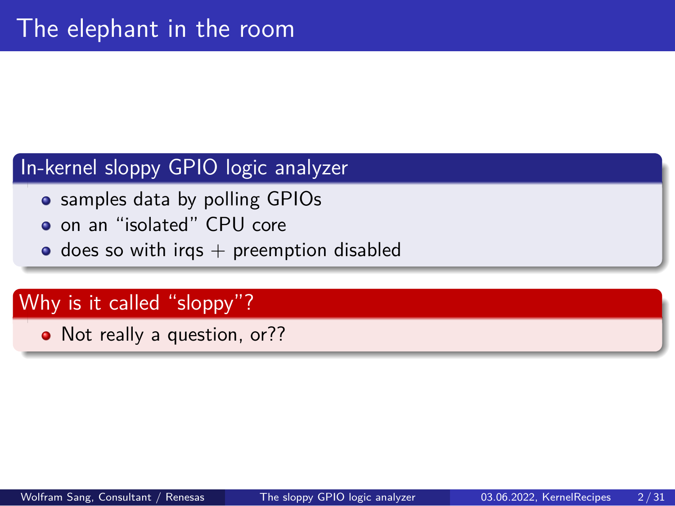## The elephant in the room

### In-kernel sloppy GPIO logic analyzer

- samples data by polling GPIOs
- on an "isolated" CPU core
- $\bullet$  does so with irqs  $+$  preemption disabled

### Why is it called "sloppy"?

• Not really a question, or??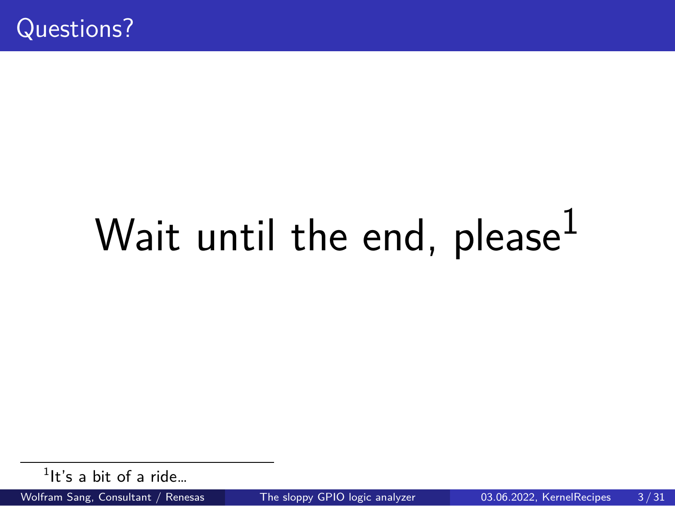Questions?

# Wait until the end, please $1$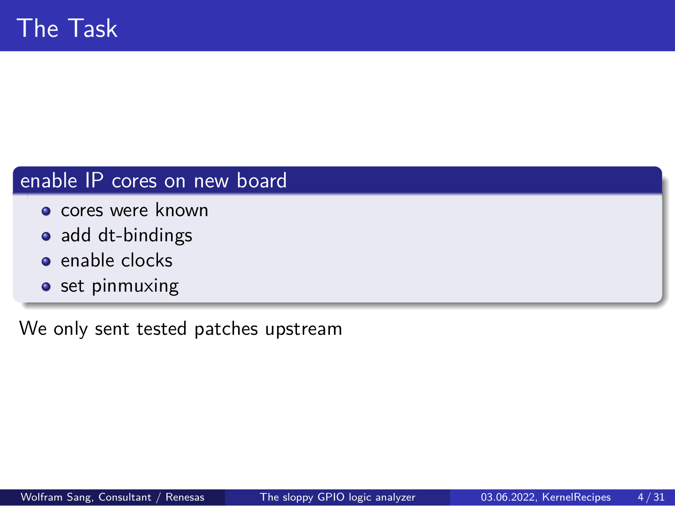# The Task

### enable IP cores on new board

- **o** cores were known
- add dt-bindings
- enable clocks
- set pinmuxing

We only sent tested patches upstream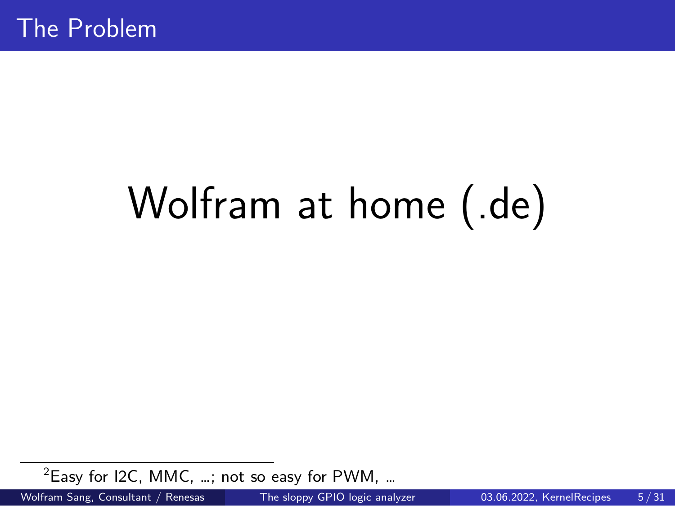The Problem

# Wolfram at home (.de)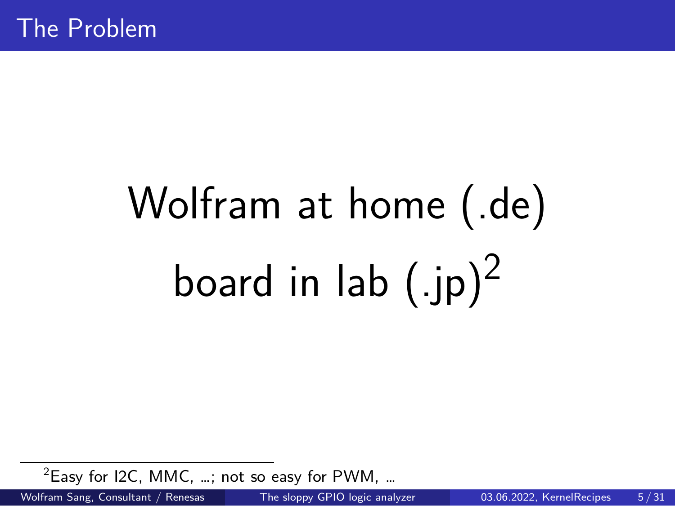The Problem

Wolfram at home (.de) board in lab  $(.jp)^2$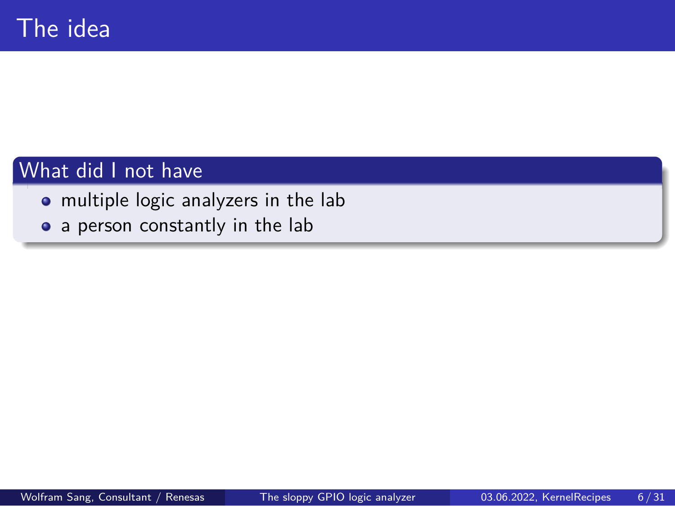# The idea

### What did I not have

- multiple logic analyzers in the lab
- a person constantly in the lab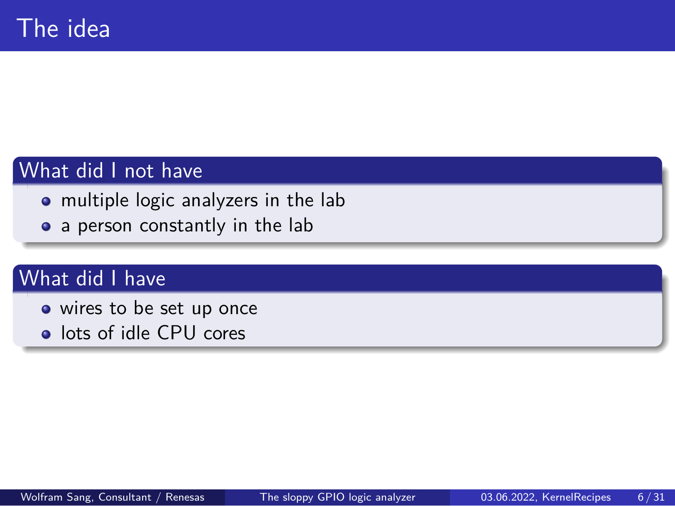## The idea

### What did I not have

- multiple logic analyzers in the lab
- a person constantly in the lab

### What did I have

- wires to be set up once
- **·** lots of idle CPU cores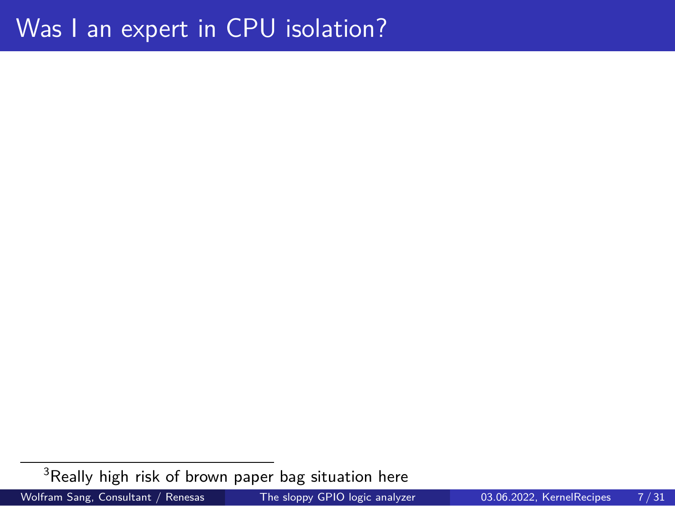Was I an expert in CPU isolation?

 $^3$ Really high risk of brown paper bag situation here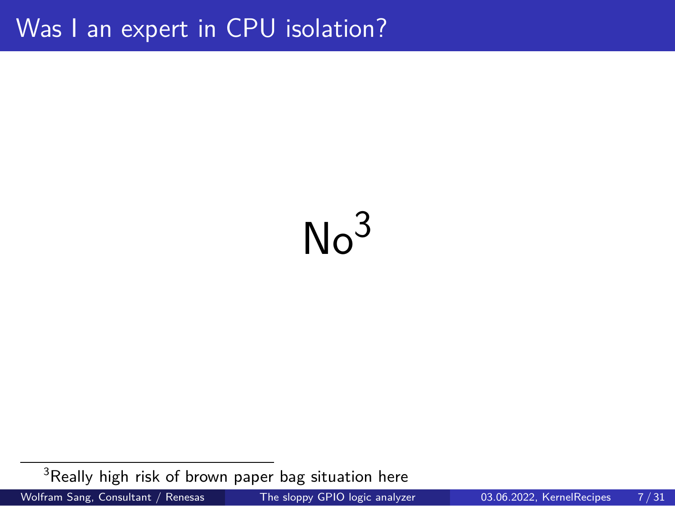Was I an expert in CPU isolation?

# $No<sup>3</sup>$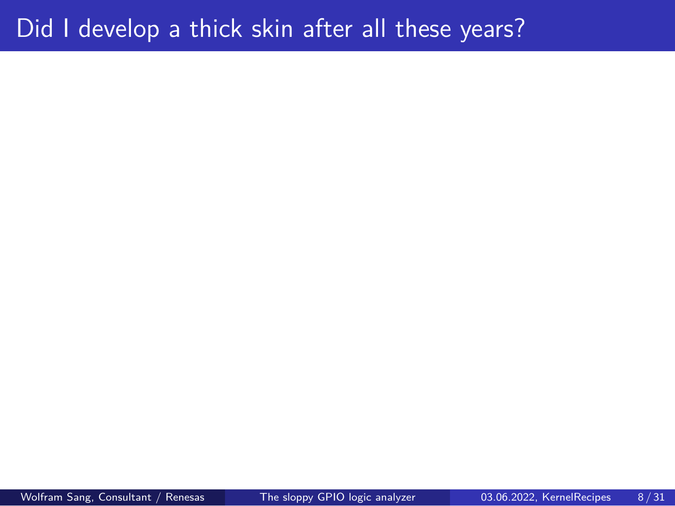Did I develop a thick skin after all these years?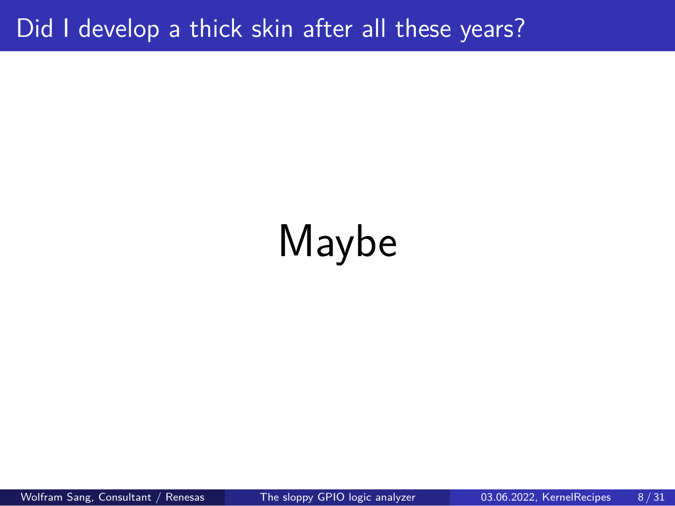Did I develop a thick skin after all these years?

# Maybe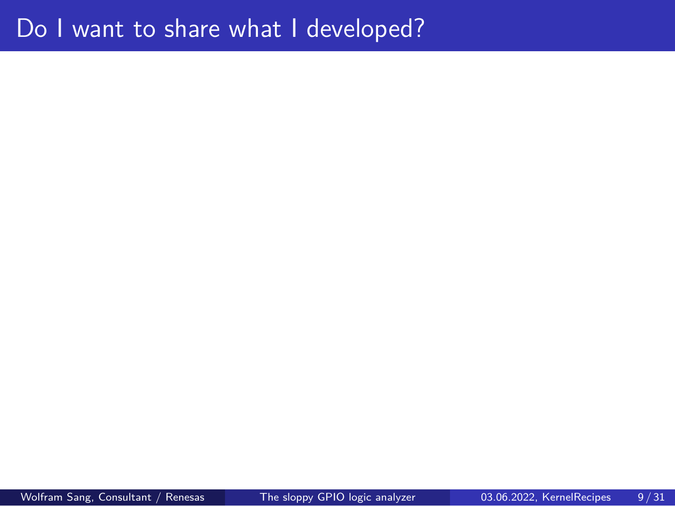Do I want to share what I developed?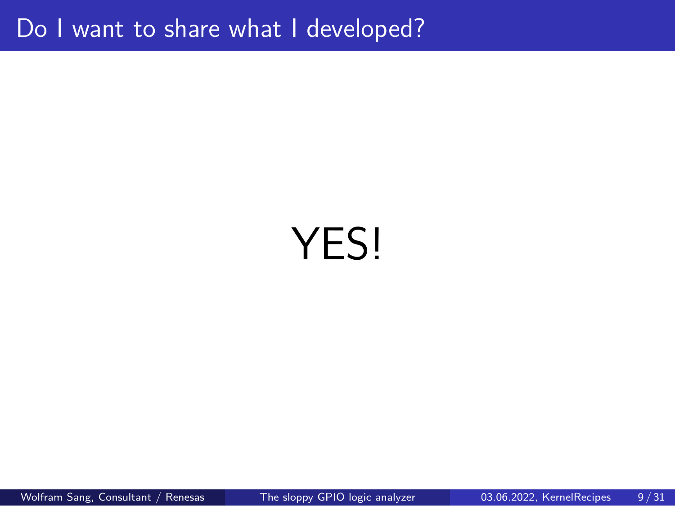Do I want to share what I developed?

# YES!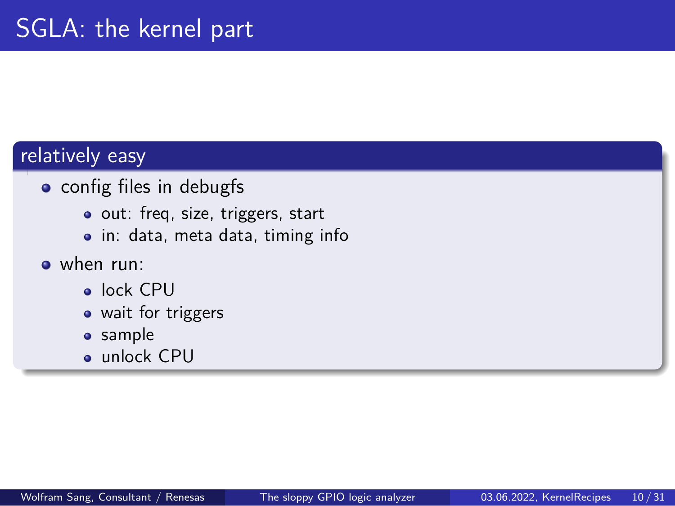# SGLA: the kernel part

### relatively easy

- **•** config files in debugfs
	- o out: freq, size, triggers, start
	- in: data, meta data, timing info
- when run:
	- lock CPU
	- wait for triggers
	- **•** sample
	- unlock CPU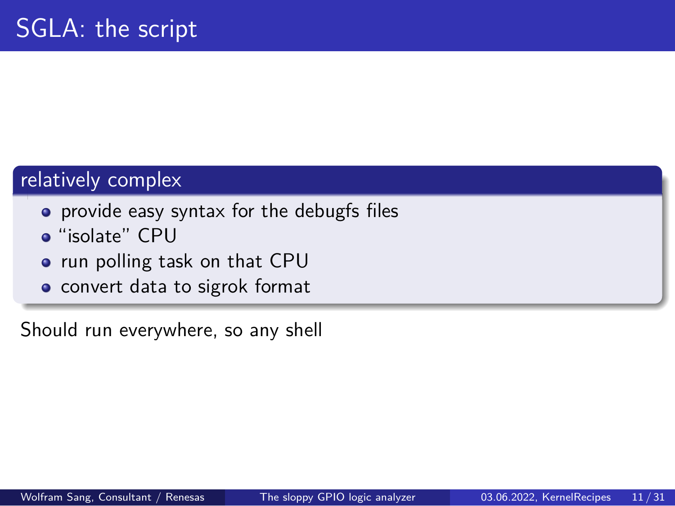# SGLA: the script

#### relatively complex

- provide easy syntax for the debugfs files
- "isolate" CPU
- run polling task on that CPU
- convert data to sigrok format

Should run everywhere, so any shell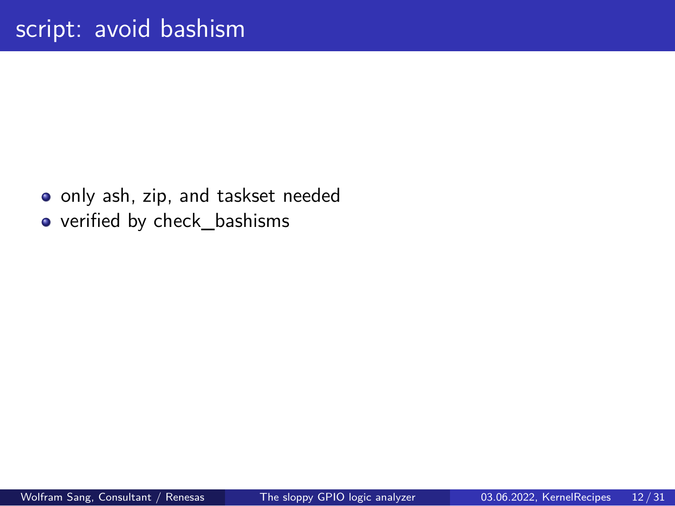# script: avoid bashism

o only ash, zip, and taskset needed

verified by check\_bashisms

Wolfram Sang, Consultant / Renesas The sloppy GPIO logic analyzer 03.06.2022, KernelRecipes 12/31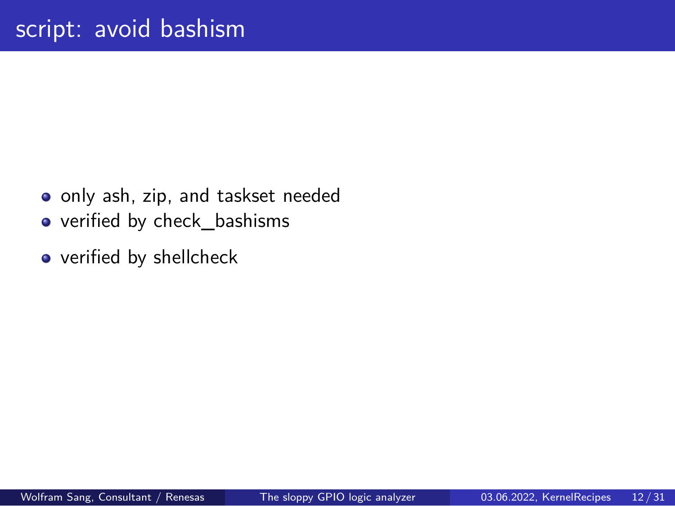# script: avoid bashism

- o only ash, zip, and taskset needed
- verified by check\_bashisms
- verified by shellcheck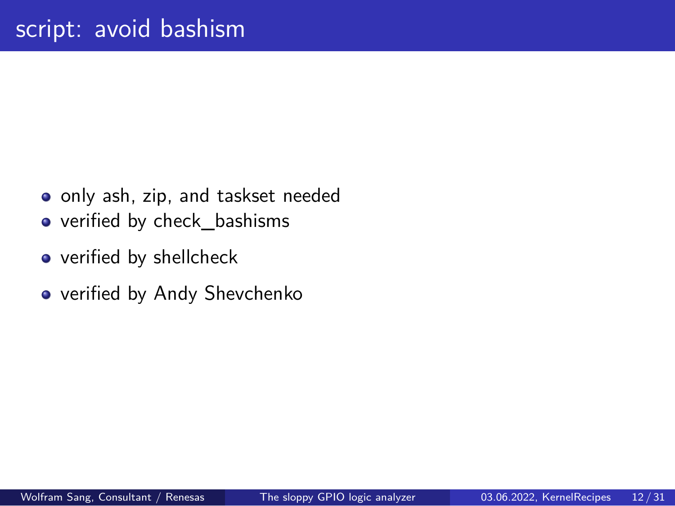# script: avoid bashism

- o only ash, zip, and taskset needed
- verified by check\_bashisms
- verified by shellcheck
- verified by Andy Shevchenko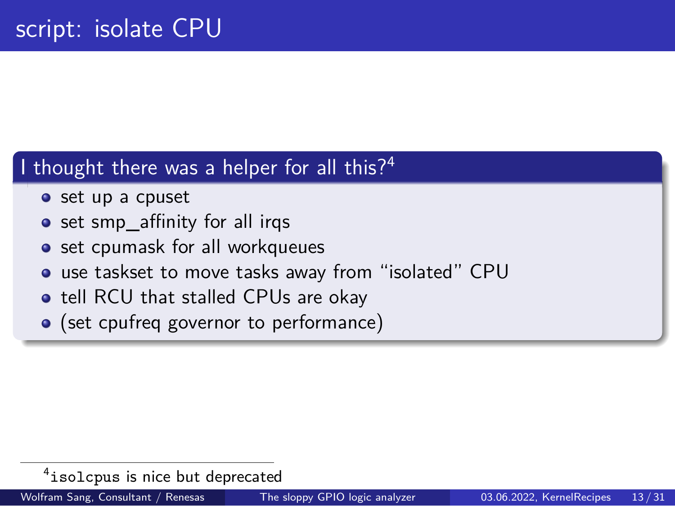## script: isolate CPU

### I thought there was a helper for all this?<sup>4</sup>

- set up a cpuset
- set smp\_affinity for all irqs
- set cpumask for all workqueues
- use taskset to move tasks away from "isolated" CPU
- tell RCU that stalled CPUs are okay
- (set cpufreq governor to performance)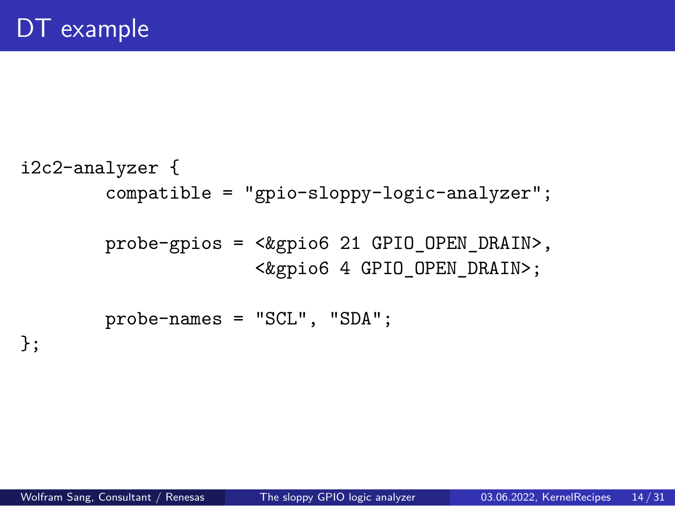```
Wolfram Sang, Consultant / Renesas The sloppy GPIO logic analyzer 03.06.2022, KernelRecipes 14 / 31
```

```
i2c2-analyzer {
        compatible = "gpio-sloppy-logic-analyzer";
        probe-gpios = <&gpio6 21 GPIO_OPEN_DRAIN>,
                     <&gpio6 4 GPIO_OPEN_DRAIN>;
        probe-names = "SCL", "SDA";
};
```
# DT example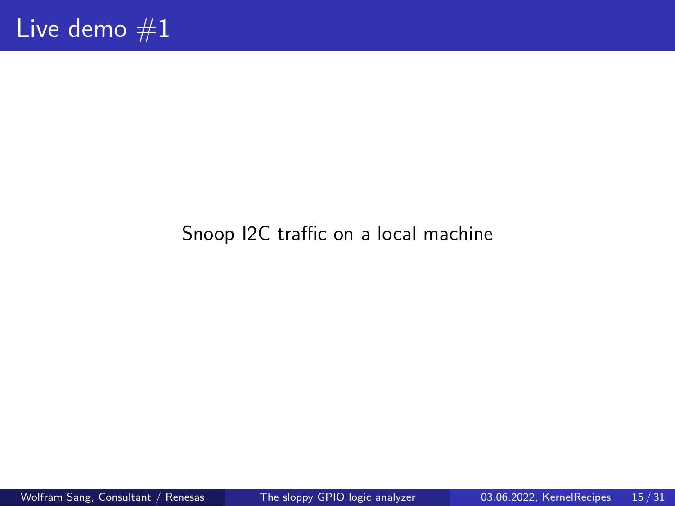Live demo  $#1$ 

Snoop I2C traffic on a local machine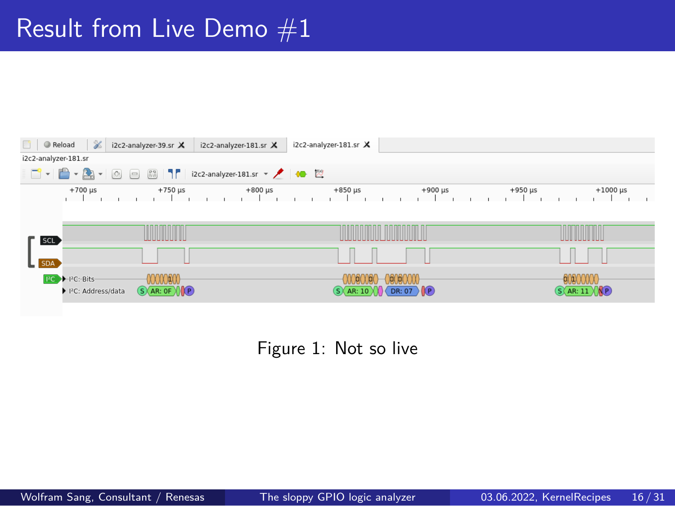# Result from Live Demo  $#1$

| $\mathscr Z$<br>Reload<br>i2c2-analyzer-181.sr X<br>i2c2-analyzer-181.sr X<br>i2c2-analyzer-39.sr X |                                |                                |                              |  |  |  |
|-----------------------------------------------------------------------------------------------------|--------------------------------|--------------------------------|------------------------------|--|--|--|
| i2c2-analyzer-181.sr                                                                                |                                |                                |                              |  |  |  |
| □ - ■ - ▲ - ④ 回 8 1   i2c2-analyzer-181.sr - ノ + ● 四                                                |                                |                                |                              |  |  |  |
| $+700 \mu s$                                                                                        | $+800 \mu s$<br>$+750 \,\mu s$ | $+850 \,\mu s$<br>$+900 \mu s$ | $+950$ us<br>$+1000 \,\mu s$ |  |  |  |
|                                                                                                     |                                |                                |                              |  |  |  |
|                                                                                                     |                                |                                |                              |  |  |  |
| <b>SCL</b>                                                                                          |                                |                                |                              |  |  |  |
|                                                                                                     |                                |                                |                              |  |  |  |
| $L$ SDA                                                                                             |                                |                                |                              |  |  |  |

Figure 1: Not so live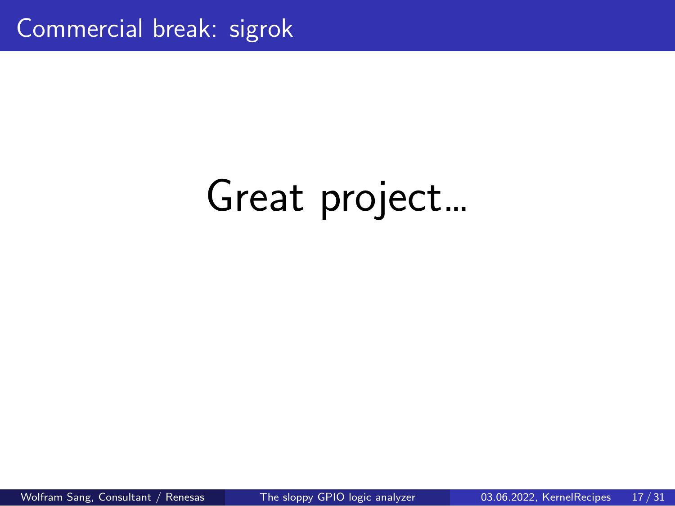Commercial break: sigrok

Great project…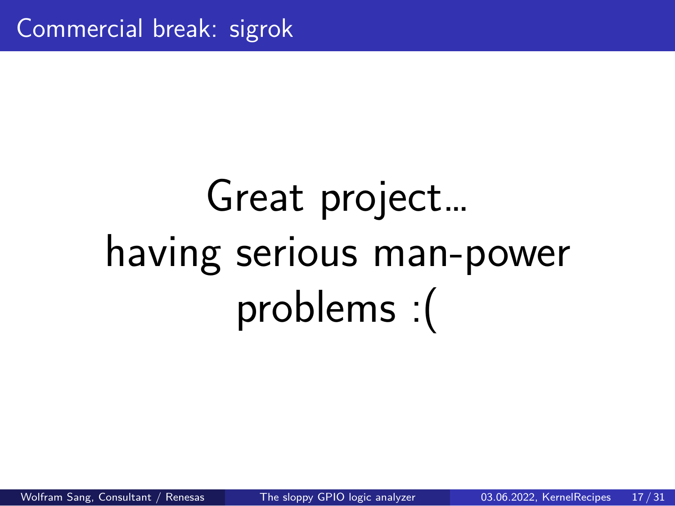Commercial break: sigrok

Great project… having serious man-power problems :(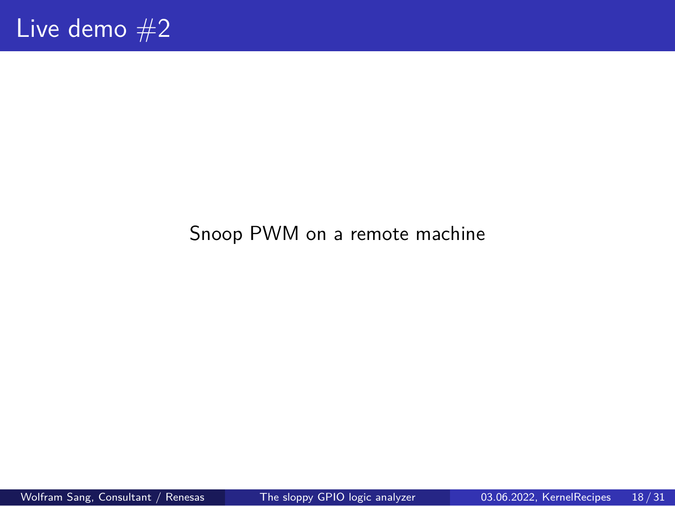Live demo  $#2$ 

Snoop PWM on a remote machine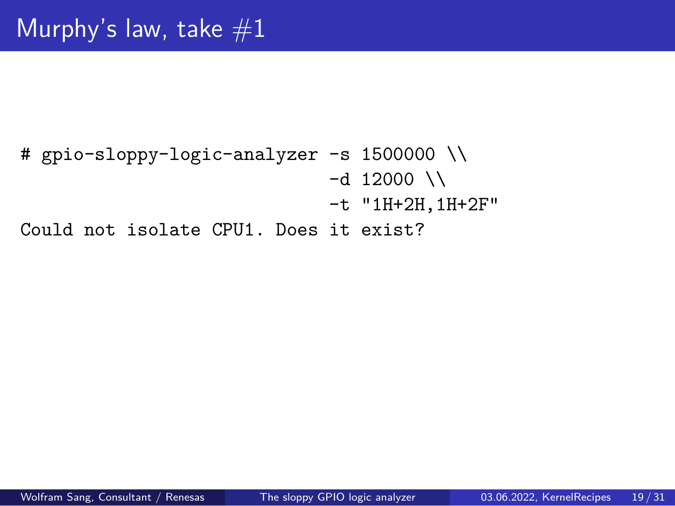# Murphy's law, take  $#1$

# gpio-sloppy-logic-analyzer -s 1500000 \\  $-d$  12000 \\ -t "1H+2H,1H+2F" Could not isolate CPU1. Does it exist?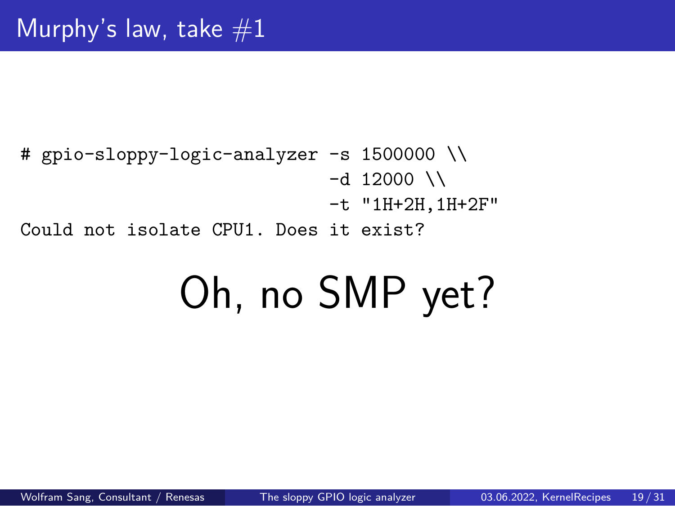# Oh, no SMP yet?

# gpio-sloppy-logic-analyzer -s 1500000 \\  $-d$  12000 \\ -t "1H+2H,1H+2F" Could not isolate CPU1. Does it exist?

Murphy's law, take  $#1$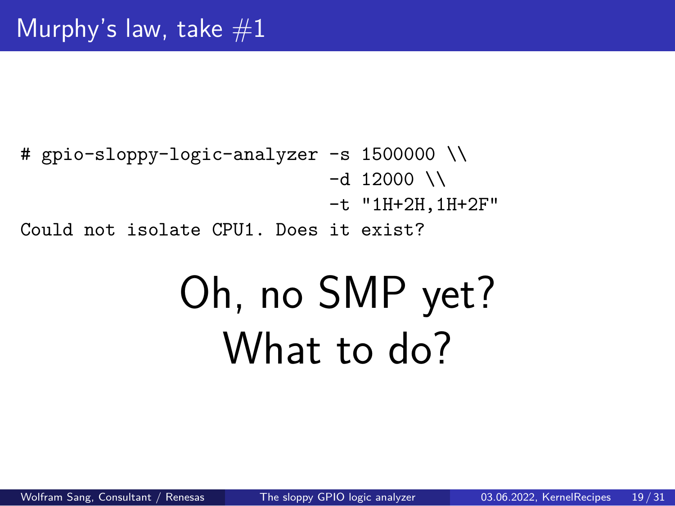## Murphy's law, take  $#1$

```
# gpio-sloppy-logic-analyzer -s 1500000 \\
                             -d 12000 \\
                             -t "1H+2H,1H+2F"
Could not isolate CPU1. Does it exist?
```
# Oh, no SMP yet? What to do?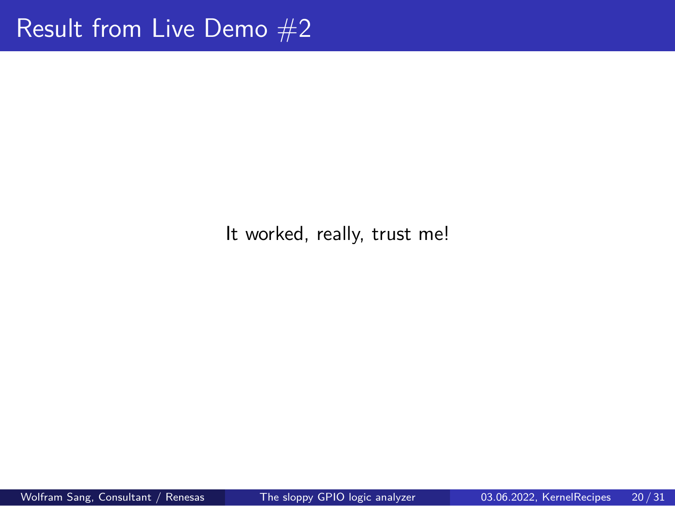Result from Live Demo #2

It worked, really, trust me!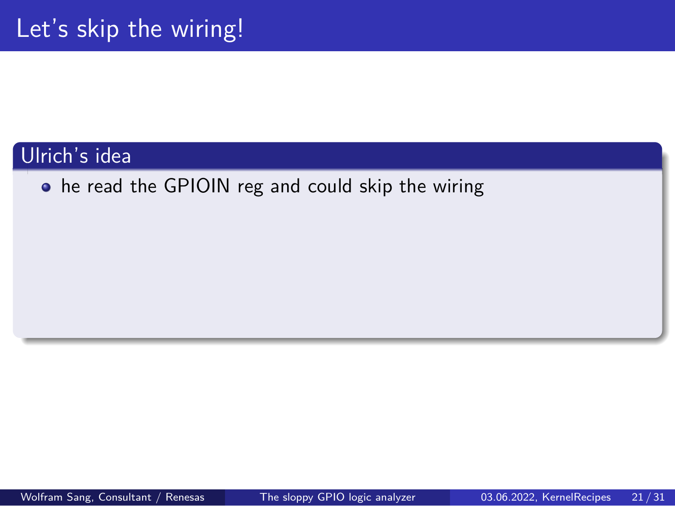### Ulrich's idea

he read the GPIOIN reg and could skip the wiring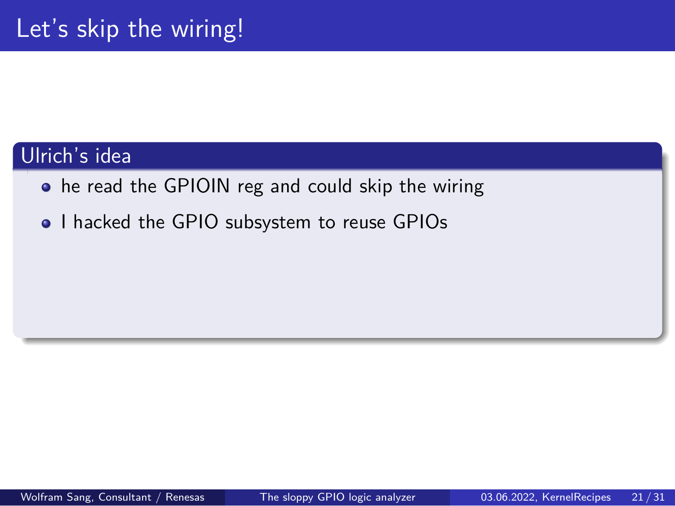### Ulrich's idea

- he read the GPIOIN reg and could skip the wiring
- I hacked the GPIO subsystem to reuse GPIOs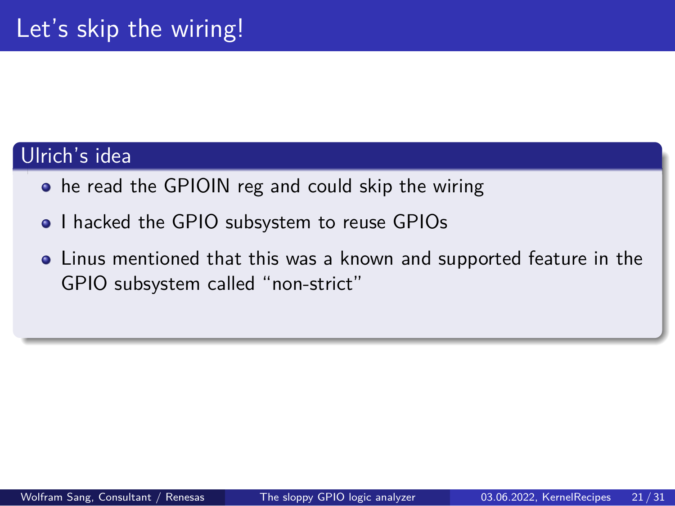### Ulrich's idea

- he read the GPIOIN reg and could skip the wiring
- I hacked the GPIO subsystem to reuse GPIOs
- Linus mentioned that this was a known and supported feature in the GPIO subsystem called "non-strict"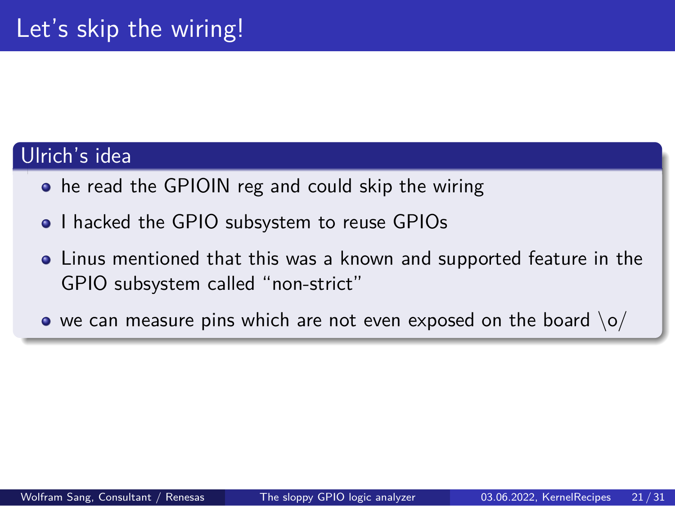### Ulrich's idea

- he read the GPIOIN reg and could skip the wiring
- I hacked the GPIO subsystem to reuse GPIOs
- Linus mentioned that this was a known and supported feature in the GPIO subsystem called "non-strict"
- $\bullet$  we can measure pins which are not even exposed on the board  $\lozenge$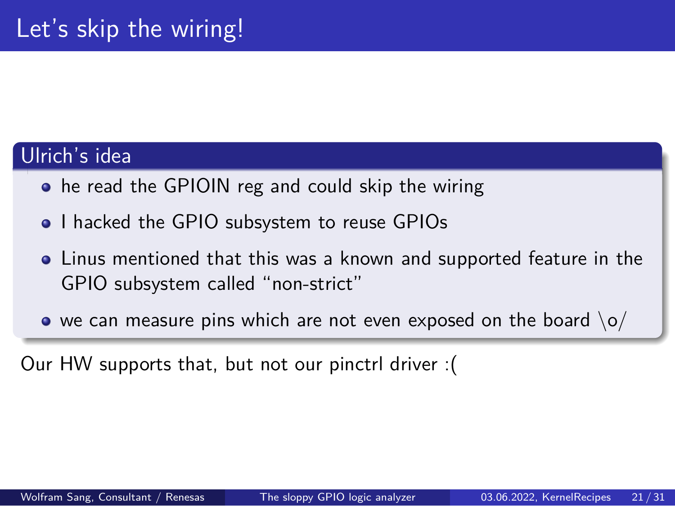#### Ulrich's idea

- he read the GPIOIN reg and could skip the wiring
- . I hacked the GPIO subsystem to reuse GPIOs
- Linus mentioned that this was a known and supported feature in the GPIO subsystem called "non-strict"
- $\bullet$  we can measure pins which are not even exposed on the board  $\lozenge$

Our HW supports that, but not our pinctrl driver :(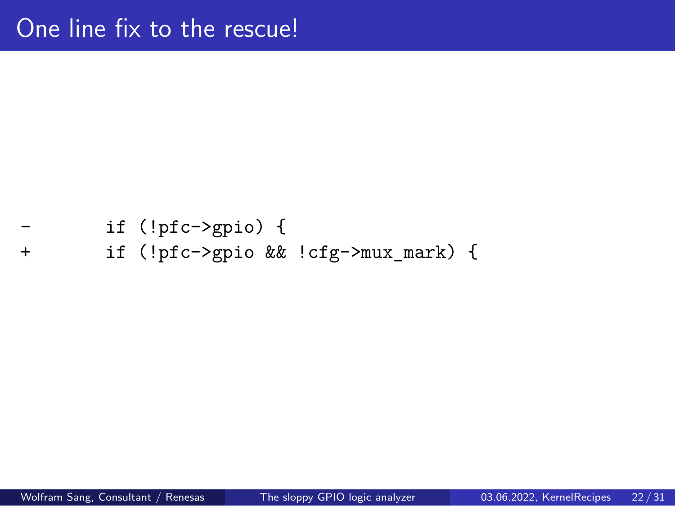One line fix to the rescue!

```
if (!pfc->gpio) {
```
+ if (!pfc->gpio && !cfg->mux\_mark) {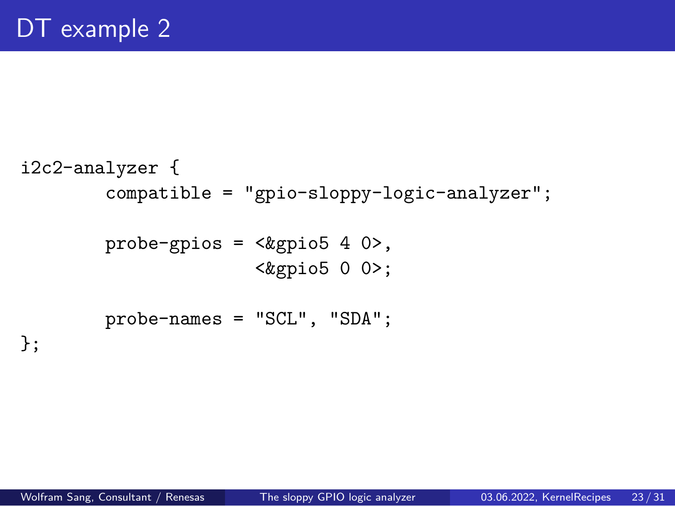```
Wolfram Sang, Consultant / Renesas The sloppy GPIO logic analyzer 03.06.2022, KernelRecipes 23/31
```

```
i2c2-analyzer {
        compatible = "gpio-sloppy-logic-analyzer";
        probe-gpios = <&gpio5 4 0>,
                     <&gpio5 0 0>;
        probe-names = "SCL", "SDA";
};
```
# DT example 2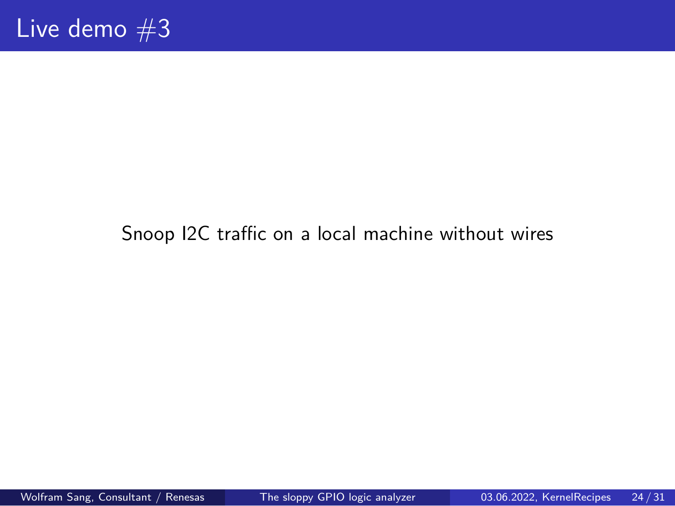Live demo  $#3$ 

Snoop I2C traffic on a local machine without wires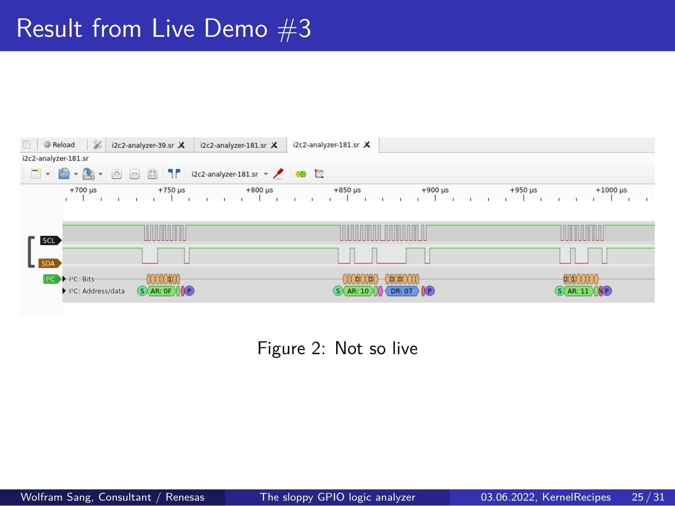# Result from Live Demo  $#3$

| $\mathscr Z$<br>Reload<br>i2c2-analyzer-181.sr X<br>i2c2-analyzer-39.sr X<br>i2c2-analyzer-181.sr X |                                  |                                             |                                              |  |  |  |
|-----------------------------------------------------------------------------------------------------|----------------------------------|---------------------------------------------|----------------------------------------------|--|--|--|
| i2c2-analyzer-181.sr                                                                                |                                  |                                             |                                              |  |  |  |
| □ - ■ - ▲ - ④ 回 8 1   i2c2-analyzer-181.sr - ノ + ● 置                                                |                                  |                                             |                                              |  |  |  |
| $+700 \,\mu s$                                                                                      | $+800 \,\mu s$<br>$+750 \,\mu s$ | $+850 \,\mu s$<br>$+900 \mu s$              | $+950 \mu s$<br>$+1000 \,\mu s$              |  |  |  |
| <b>SCL</b>                                                                                          |                                  |                                             |                                              |  |  |  |
| $L$ SDA                                                                                             |                                  |                                             |                                              |  |  |  |
| 00000000<br>PC PFC: Bits<br>▶ PC: Address/data                                                      | $(S)$ AR: OF $\sqrt{\mathbf{P}}$ | [01]0(1)1]<br>$(S)$ AR: 10 $X$ OR: 07 $(P)$ | 00000000<br>$(S \triangle AR: 11 \times NP)$ |  |  |  |

Figure 2: Not so live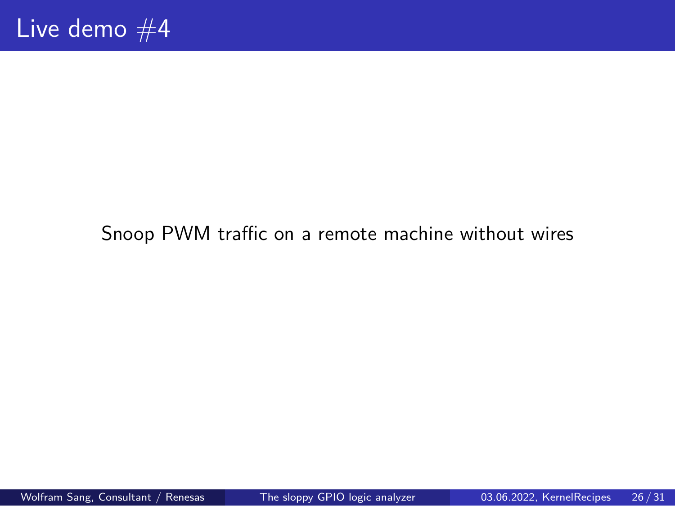Live demo  $#4$ 

Snoop PWM traffic on a remote machine without wires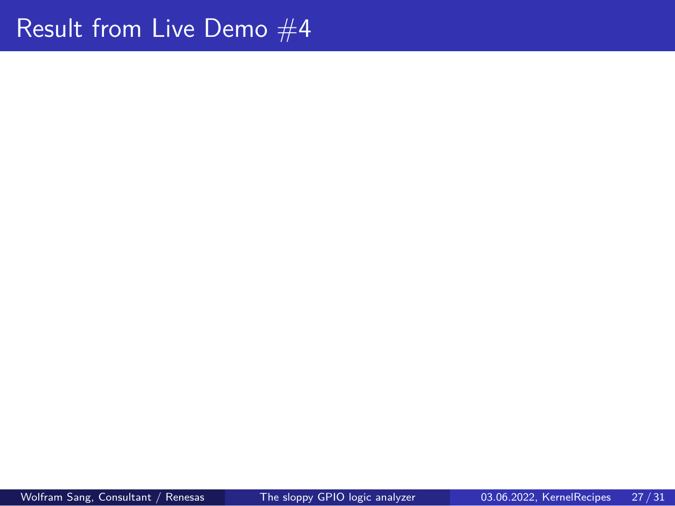Result from Live Demo  $#4$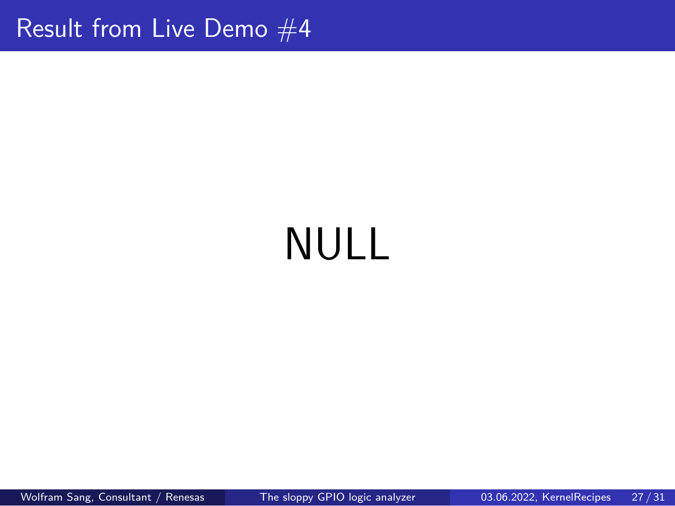Result from Live Demo  $#4$ 

# NULL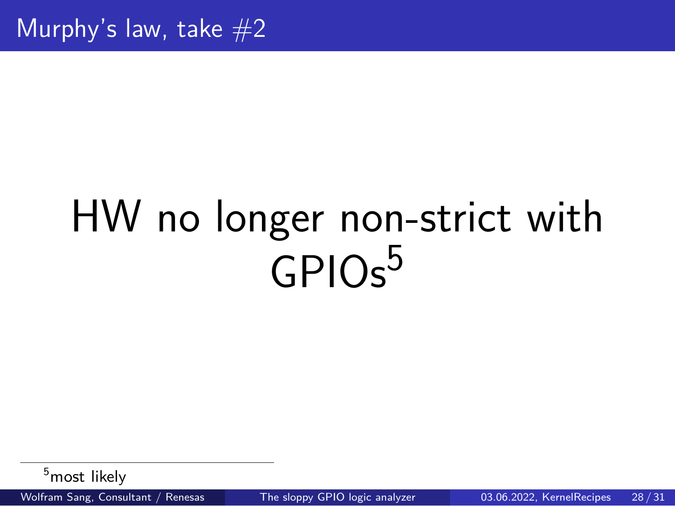Murphy's law, take  $#2$ 

# HW no longer non-strict with GPIO<sub>s</sub><sup>5</sup>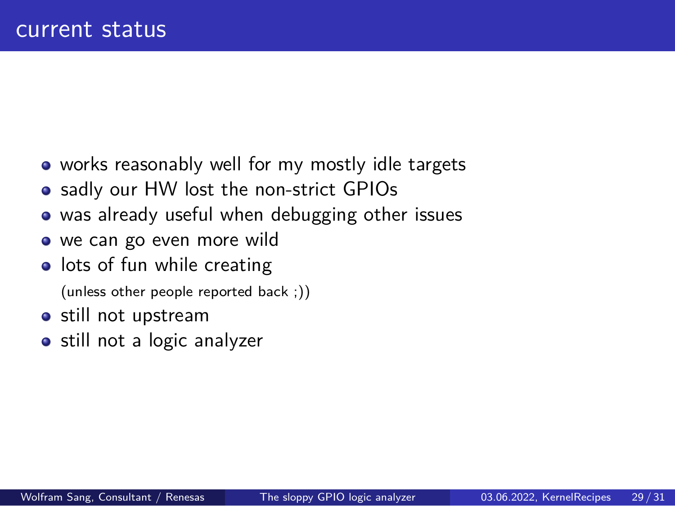#### current status

- works reasonably well for my mostly idle targets
- sadly our HW lost the non-strict GPIOs
- was already useful when debugging other issues
- we can go even more wild
- **·** lots of fun while creating
- (unless other people reported back ;))
- still not upstream
- still not a logic analyzer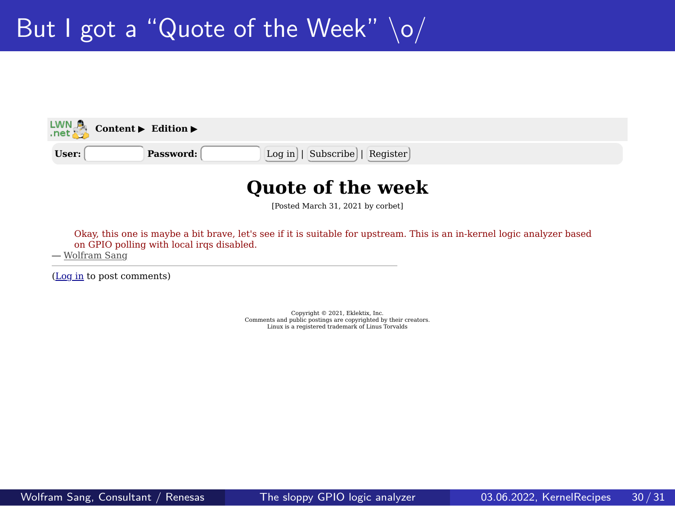# But I got a "Quote of the Week"  $\log$

**Content** ▶ **Edition** 

**User: Password:** Log in | Subscribe | Register

#### **Quote of the week**

[Posted March 31, 2021 by corbet]

Okay, this one is maybe a bit brave, let's see if it is suitable for upstream. This is an in-kernel logic analyzer based on GPIO polling with local irqs disabled. — Wolfram Sang

(Log in to post comments)

Copyright © 2021, Eklektix, Inc. Comments and public postings are copyrighted by their creators. Linux is a registered trademark of Linus Torvalds